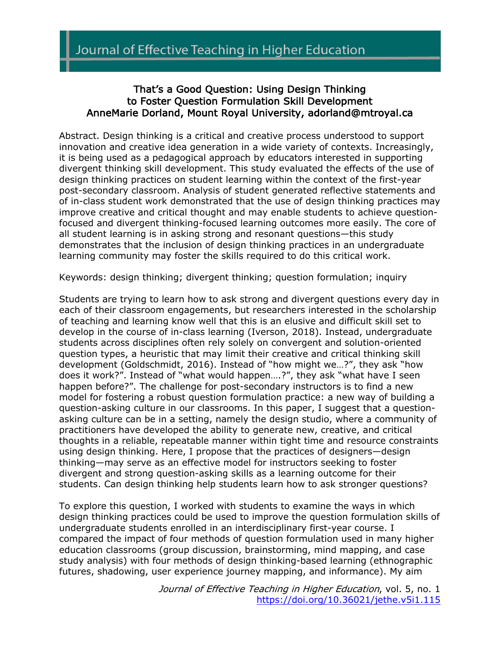## That's a Good Question: Using Design Thinking to Foster Question Formulation Skill Development AnneMarie Dorland, Mount Royal University, adorland@mtroyal.ca

Abstract. Design thinking is a critical and creative process understood to support innovation and creative idea generation in a wide variety of contexts. Increasingly, it is being used as a pedagogical approach by educators interested in supporting divergent thinking skill development. This study evaluated the effects of the use of design thinking practices on student learning within the context of the first-year post-secondary classroom. Analysis of student generated reflective statements and of in-class student work demonstrated that the use of design thinking practices may improve creative and critical thought and may enable students to achieve questionfocused and divergent thinking-focused learning outcomes more easily. The core of all student learning is in asking strong and resonant questions—this study demonstrates that the inclusion of design thinking practices in an undergraduate learning community may foster the skills required to do this critical work.

Keywords: design thinking; divergent thinking; question formulation; inquiry

Students are trying to learn how to ask strong and divergent questions every day in each of their classroom engagements, but researchers interested in the scholarship of teaching and learning know well that this is an elusive and difficult skill set to develop in the course of in-class learning (Iverson, 2018). Instead, undergraduate students across disciplines often rely solely on convergent and solution-oriented question types, a heuristic that may limit their creative and critical thinking skill development (Goldschmidt, 2016). Instead of "how might we…?", they ask "how does it work?". Instead of "what would happen….?", they ask "what have I seen happen before?". The challenge for post-secondary instructors is to find a new model for fostering a robust question formulation practice: a new way of building a question-asking culture in our classrooms. In this paper, I suggest that a questionasking culture can be in a setting, namely the design studio, where a community of practitioners have developed the ability to generate new, creative, and critical thoughts in a reliable, repeatable manner within tight time and resource constraints using design thinking. Here, I propose that the practices of designers—design thinking—may serve as an effective model for instructors seeking to foster divergent and strong question-asking skills as a learning outcome for their students. Can design thinking help students learn how to ask stronger questions?

To explore this question, I worked with students to examine the ways in which design thinking practices could be used to improve the question formulation skills of undergraduate students enrolled in an interdisciplinary first-year course. I compared the impact of four methods of question formulation used in many higher education classrooms (group discussion, brainstorming, mind mapping, and case study analysis) with four methods of design thinking-based learning (ethnographic futures, shadowing, user experience journey mapping, and informance). My aim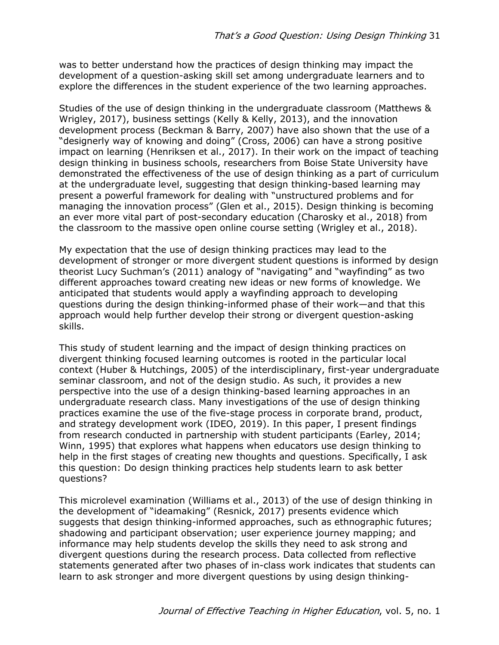was to better understand how the practices of design thinking may impact the development of a question-asking skill set among undergraduate learners and to explore the differences in the student experience of the two learning approaches.

Studies of the use of design thinking in the undergraduate classroom (Matthews & Wrigley, 2017), business settings (Kelly & Kelly, 2013), and the innovation development process (Beckman & Barry, 2007) have also shown that the use of a "designerly way of knowing and doing" (Cross, 2006) can have a strong positive impact on learning (Henriksen et al., 2017). In their work on the impact of teaching design thinking in business schools, researchers from Boise State University have demonstrated the effectiveness of the use of design thinking as a part of curriculum at the undergraduate level, suggesting that design thinking-based learning may present a powerful framework for dealing with "unstructured problems and for managing the innovation process" (Glen et al., 2015). Design thinking is becoming an ever more vital part of post-secondary education (Charosky et al., 2018) from the classroom to the massive open online course setting (Wrigley et al., 2018).

My expectation that the use of design thinking practices may lead to the development of stronger or more divergent student questions is informed by design theorist Lucy Suchman's (2011) analogy of "navigating" and "wayfinding" as two different approaches toward creating new ideas or new forms of knowledge. We anticipated that students would apply a wayfinding approach to developing questions during the design thinking-informed phase of their work—and that this approach would help further develop their strong or divergent question-asking skills.

This study of student learning and the impact of design thinking practices on divergent thinking focused learning outcomes is rooted in the particular local context (Huber & Hutchings, 2005) of the interdisciplinary, first-year undergraduate seminar classroom, and not of the design studio. As such, it provides a new perspective into the use of a design thinking-based learning approaches in an undergraduate research class. Many investigations of the use of design thinking practices examine the use of the five-stage process in corporate brand, product, and strategy development work (IDEO, 2019). In this paper, I present findings from research conducted in partnership with student participants (Earley, 2014; Winn, 1995) that explores what happens when educators use design thinking to help in the first stages of creating new thoughts and questions. Specifically, I ask this question: Do design thinking practices help students learn to ask better questions?

This microlevel examination (Williams et al., 2013) of the use of design thinking in the development of "ideamaking" (Resnick, 2017) presents evidence which suggests that design thinking-informed approaches, such as ethnographic futures; shadowing and participant observation; user experience journey mapping; and informance may help students develop the skills they need to ask strong and divergent questions during the research process. Data collected from reflective statements generated after two phases of in-class work indicates that students can learn to ask stronger and more divergent questions by using design thinking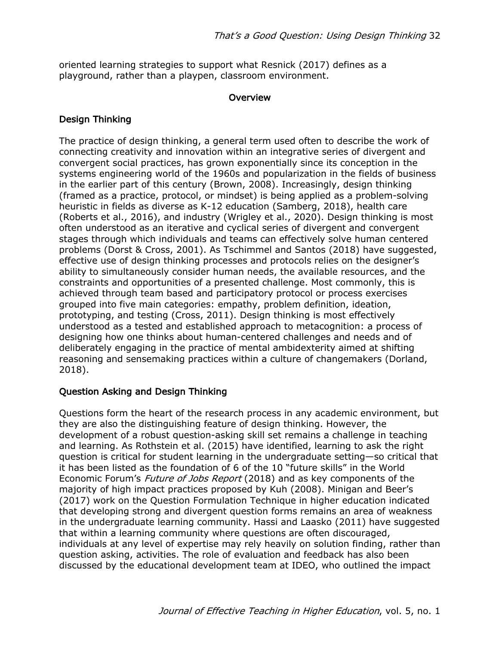oriented learning strategies to support what Resnick (2017) defines as a playground, rather than a playpen, classroom environment.

#### **Overview**

### Design Thinking

The practice of design thinking, a general term used often to describe the work of connecting creativity and innovation within an integrative series of divergent and convergent social practices, has grown exponentially since its conception in the systems engineering world of the 1960s and popularization in the fields of business in the earlier part of this century (Brown, 2008). Increasingly, design thinking (framed as a practice, protocol, or mindset) is being applied as a problem-solving heuristic in fields as diverse as K-12 education (Samberg, 2018), health care (Roberts et al., 2016), and industry (Wrigley et al., 2020). Design thinking is most often understood as an iterative and cyclical series of divergent and convergent stages through which individuals and teams can effectively solve human centered problems (Dorst & Cross, 2001). As Tschimmel and Santos (2018) have suggested, effective use of design thinking processes and protocols relies on the designer's ability to simultaneously consider human needs, the available resources, and the constraints and opportunities of a presented challenge. Most commonly, this is achieved through team based and participatory protocol or process exercises grouped into five main categories: empathy, problem definition, ideation, prototyping, and testing (Cross, 2011). Design thinking is most effectively understood as a tested and established approach to metacognition: a process of designing how one thinks about human-centered challenges and needs and of deliberately engaging in the practice of mental ambidexterity aimed at shifting reasoning and sensemaking practices within a culture of changemakers (Dorland, 2018).

### Question Asking and Design Thinking

Questions form the heart of the research process in any academic environment, but they are also the distinguishing feature of design thinking. However, the development of a robust question-asking skill set remains a challenge in teaching and learning. As Rothstein et al. (2015) have identified, learning to ask the right question is critical for student learning in the undergraduate setting—so critical that it has been listed as the foundation of 6 of the 10 "future skills" in the World Economic Forum's *Future of Jobs Report* (2018) and as key components of the majority of high impact practices proposed by Kuh (2008). Minigan and Beer's (2017) work on the Question Formulation Technique in higher education indicated that developing strong and divergent question forms remains an area of weakness in the undergraduate learning community. Hassi and Laasko (2011) have suggested that within a learning community where questions are often discouraged, individuals at any level of expertise may rely heavily on solution finding, rather than question asking, activities. The role of evaluation and feedback has also been discussed by the educational development team at IDEO, who outlined the impact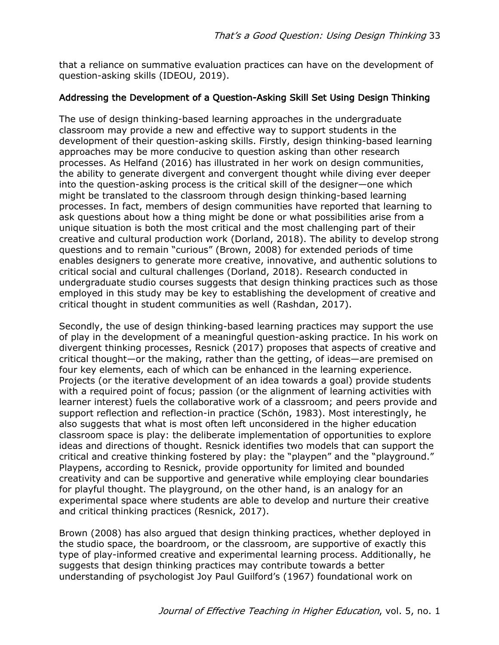that a reliance on summative evaluation practices can have on the development of question-asking skills (IDEOU, 2019).

## Addressing the Development of a Question-Asking Skill Set Using Design Thinking

The use of design thinking-based learning approaches in the undergraduate classroom may provide a new and effective way to support students in the development of their question-asking skills. Firstly, design thinking-based learning approaches may be more conducive to question asking than other research processes. As Helfand (2016) has illustrated in her work on design communities, the ability to generate divergent and convergent thought while diving ever deeper into the question-asking process is the critical skill of the designer—one which might be translated to the classroom through design thinking-based learning processes. In fact, members of design communities have reported that learning to ask questions about how a thing might be done or what possibilities arise from a unique situation is both the most critical and the most challenging part of their creative and cultural production work (Dorland, 2018). The ability to develop strong questions and to remain "curious" (Brown, 2008) for extended periods of time enables designers to generate more creative, innovative, and authentic solutions to critical social and cultural challenges (Dorland, 2018). Research conducted in undergraduate studio courses suggests that design thinking practices such as those employed in this study may be key to establishing the development of creative and critical thought in student communities as well (Rashdan, 2017).

Secondly, the use of design thinking-based learning practices may support the use of play in the development of a meaningful question-asking practice. In his work on divergent thinking processes, Resnick (2017) proposes that aspects of creative and critical thought—or the making, rather than the getting, of ideas—are premised on four key elements, each of which can be enhanced in the learning experience. Projects (or the iterative development of an idea towards a goal) provide students with a required point of focus; passion (or the alignment of learning activities with learner interest) fuels the collaborative work of a classroom; and peers provide and support reflection and reflection-in practice (Schön, 1983). Most interestingly, he also suggests that what is most often left unconsidered in the higher education classroom space is play: the deliberate implementation of opportunities to explore ideas and directions of thought. Resnick identifies two models that can support the critical and creative thinking fostered by play: the "playpen" and the "playground." Playpens, according to Resnick, provide opportunity for limited and bounded creativity and can be supportive and generative while employing clear boundaries for playful thought. The playground, on the other hand, is an analogy for an experimental space where students are able to develop and nurture their creative and critical thinking practices (Resnick, 2017).

Brown (2008) has also argued that design thinking practices, whether deployed in the studio space, the boardroom, or the classroom, are supportive of exactly this type of play-informed creative and experimental learning process. Additionally, he suggests that design thinking practices may contribute towards a better understanding of psychologist Joy Paul Guilford's (1967) foundational work on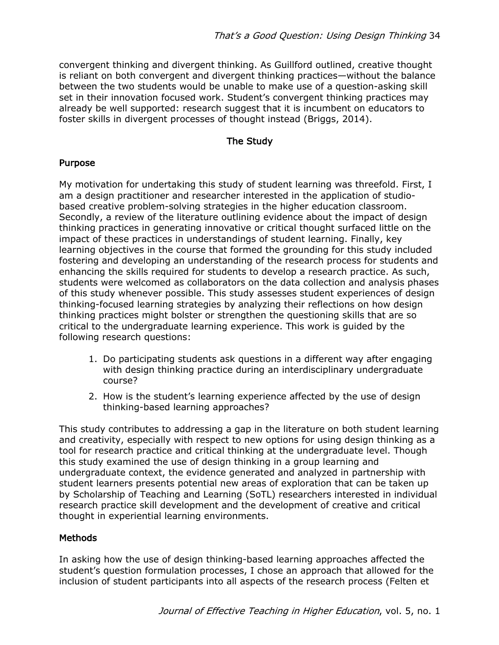convergent thinking and divergent thinking. As Guillford outlined, creative thought is reliant on both convergent and divergent thinking practices—without the balance between the two students would be unable to make use of a question-asking skill set in their innovation focused work. Student's convergent thinking practices may already be well supported: research suggest that it is incumbent on educators to foster skills in divergent processes of thought instead (Briggs, 2014).

## The Study

### Purpose

My motivation for undertaking this study of student learning was threefold. First, I am a design practitioner and researcher interested in the application of studiobased creative problem-solving strategies in the higher education classroom. Secondly, a review of the literature outlining evidence about the impact of design thinking practices in generating innovative or critical thought surfaced little on the impact of these practices in understandings of student learning. Finally, key learning objectives in the course that formed the grounding for this study included fostering and developing an understanding of the research process for students and enhancing the skills required for students to develop a research practice. As such, students were welcomed as collaborators on the data collection and analysis phases of this study whenever possible. This study assesses student experiences of design thinking-focused learning strategies by analyzing their reflections on how design thinking practices might bolster or strengthen the questioning skills that are so critical to the undergraduate learning experience. This work is guided by the following research questions:

- 1. Do participating students ask questions in a different way after engaging with design thinking practice during an interdisciplinary undergraduate course?
- 2. How is the student's learning experience affected by the use of design thinking-based learning approaches?

This study contributes to addressing a gap in the literature on both student learning and creativity, especially with respect to new options for using design thinking as a tool for research practice and critical thinking at the undergraduate level. Though this study examined the use of design thinking in a group learning and undergraduate context, the evidence generated and analyzed in partnership with student learners presents potential new areas of exploration that can be taken up by Scholarship of Teaching and Learning (SoTL) researchers interested in individual research practice skill development and the development of creative and critical thought in experiential learning environments.

### Methods

In asking how the use of design thinking-based learning approaches affected the student's question formulation processes, I chose an approach that allowed for the inclusion of student participants into all aspects of the research process (Felten et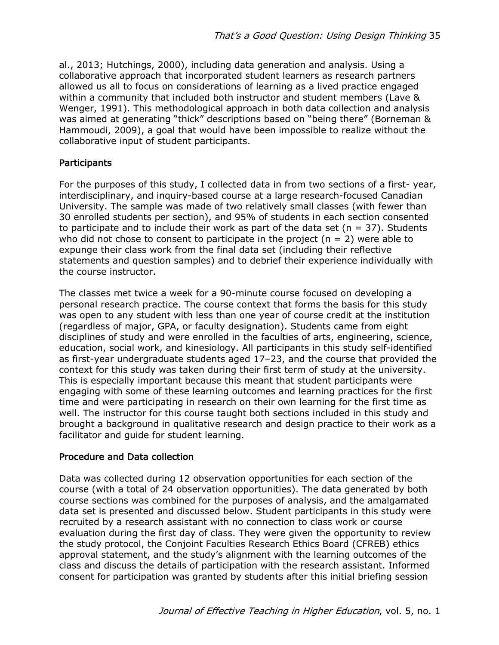al., 2013; Hutchings, 2000), including data generation and analysis. Using a collaborative approach that incorporated student learners as research partners allowed us all to focus on considerations of learning as a lived practice engaged within a community that included both instructor and student members (Lave & Wenger, 1991). This methodological approach in both data collection and analysis was aimed at generating "thick" descriptions based on "being there" (Borneman & Hammoudi, 2009), a goal that would have been impossible to realize without the collaborative input of student participants.

## **Participants**

For the purposes of this study, I collected data in from two sections of a first- year, interdisciplinary, and inquiry-based course at a large research-focused Canadian University. The sample was made of two relatively small classes (with fewer than 30 enrolled students per section), and 95% of students in each section consented to participate and to include their work as part of the data set ( $n = 37$ ). Students who did not chose to consent to participate in the project ( $n = 2$ ) were able to expunge their class work from the final data set (including their reflective statements and question samples) and to debrief their experience individually with the course instructor.

The classes met twice a week for a 90-minute course focused on developing a personal research practice. The course context that forms the basis for this study was open to any student with less than one year of course credit at the institution (regardless of major, GPA, or faculty designation). Students came from eight disciplines of study and were enrolled in the faculties of arts, engineering, science, education, social work, and kinesiology. All participants in this study self-identified as first-year undergraduate students aged 17–23, and the course that provided the context for this study was taken during their first term of study at the university. This is especially important because this meant that student participants were engaging with some of these learning outcomes and learning practices for the first time and were participating in research on their own learning for the first time as well. The instructor for this course taught both sections included in this study and brought a background in qualitative research and design practice to their work as a facilitator and guide for student learning.

# Procedure and Data collection

Data was collected during 12 observation opportunities for each section of the course (with a total of 24 observation opportunities). The data generated by both course sections was combined for the purposes of analysis, and the amalgamated data set is presented and discussed below. Student participants in this study were recruited by a research assistant with no connection to class work or course evaluation during the first day of class. They were given the opportunity to review the study protocol, the Conjoint Faculties Research Ethics Board (CFREB) ethics approval statement, and the study's alignment with the learning outcomes of the class and discuss the details of participation with the research assistant. Informed consent for participation was granted by students after this initial briefing session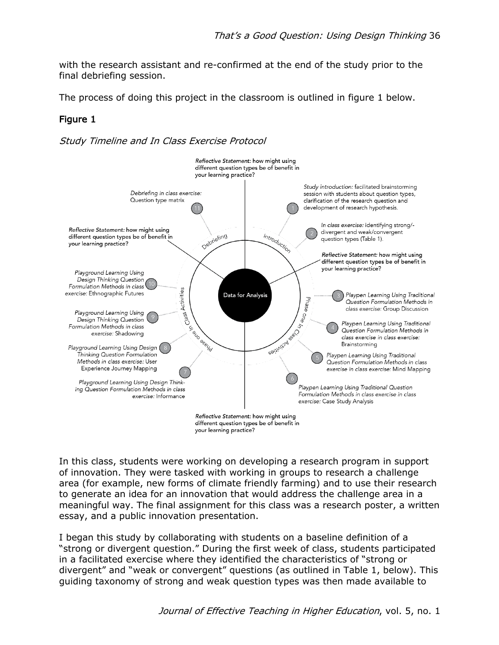with the research assistant and re-confirmed at the end of the study prior to the final debriefing session.

The process of doing this project in the classroom is outlined in figure 1 below.

# Figure 1

Study Timeline and In Class Exercise Protocol



In this class, students were working on developing a research program in support of innovation. They were tasked with working in groups to research a challenge area (for example, new forms of climate friendly farming) and to use their research to generate an idea for an innovation that would address the challenge area in a meaningful way. The final assignment for this class was a research poster, a written essay, and a public innovation presentation.

I began this study by collaborating with students on a baseline definition of a "strong or divergent question." During the first week of class, students participated in a facilitated exercise where they identified the characteristics of "strong or divergent" and "weak or convergent" questions (as outlined in Table 1, below). This guiding taxonomy of strong and weak question types was then made available to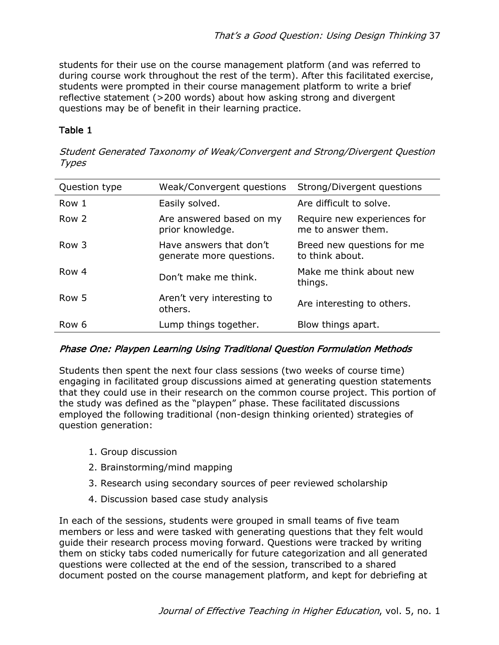students for their use on the course management platform (and was referred to during course work throughout the rest of the term). After this facilitated exercise, students were prompted in their course management platform to write a brief reflective statement (>200 words) about how asking strong and divergent questions may be of benefit in their learning practice.

## Table 1

Student Generated Taxonomy of Weak/Convergent and Strong/Divergent Question **Types** 

| Question type | Weak/Convergent questions                           | Strong/Divergent questions                        |
|---------------|-----------------------------------------------------|---------------------------------------------------|
| Row 1         | Easily solved.                                      | Are difficult to solve.                           |
| Row 2         | Are answered based on my<br>prior knowledge.        | Require new experiences for<br>me to answer them. |
| Row 3         | Have answers that don't<br>generate more questions. | Breed new questions for me<br>to think about.     |
| Row 4         | Don't make me think.                                | Make me think about new<br>things.                |
| Row 5         | Aren't very interesting to<br>others.               | Are interesting to others.                        |
| Row 6         | Lump things together.                               | Blow things apart.                                |

### Phase One: Playpen Learning Using Traditional Question Formulation Methods

Students then spent the next four class sessions (two weeks of course time) engaging in facilitated group discussions aimed at generating question statements that they could use in their research on the common course project. This portion of the study was defined as the "playpen" phase. These facilitated discussions employed the following traditional (non-design thinking oriented) strategies of question generation:

- 1. Group discussion
- 2. Brainstorming/mind mapping
- 3. Research using secondary sources of peer reviewed scholarship
- 4. Discussion based case study analysis

In each of the sessions, students were grouped in small teams of five team members or less and were tasked with generating questions that they felt would guide their research process moving forward. Questions were tracked by writing them on sticky tabs coded numerically for future categorization and all generated questions were collected at the end of the session, transcribed to a shared document posted on the course management platform, and kept for debriefing at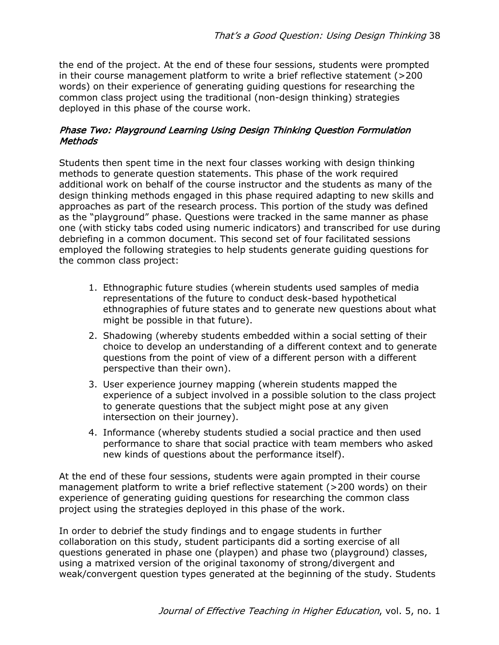the end of the project. At the end of these four sessions, students were prompted in their course management platform to write a brief reflective statement (>200 words) on their experience of generating guiding questions for researching the common class project using the traditional (non-design thinking) strategies deployed in this phase of the course work.

## Phase Two: Playground Learning Using Design Thinking Question Formulation Methods

Students then spent time in the next four classes working with design thinking methods to generate question statements. This phase of the work required additional work on behalf of the course instructor and the students as many of the design thinking methods engaged in this phase required adapting to new skills and approaches as part of the research process. This portion of the study was defined as the "playground" phase. Questions were tracked in the same manner as phase one (with sticky tabs coded using numeric indicators) and transcribed for use during debriefing in a common document. This second set of four facilitated sessions employed the following strategies to help students generate guiding questions for the common class project:

- 1. Ethnographic future studies (wherein students used samples of media representations of the future to conduct desk-based hypothetical ethnographies of future states and to generate new questions about what might be possible in that future).
- 2. Shadowing (whereby students embedded within a social setting of their choice to develop an understanding of a different context and to generate questions from the point of view of a different person with a different perspective than their own).
- 3. User experience journey mapping (wherein students mapped the experience of a subject involved in a possible solution to the class project to generate questions that the subject might pose at any given intersection on their journey).
- 4. Informance (whereby students studied a social practice and then used performance to share that social practice with team members who asked new kinds of questions about the performance itself).

At the end of these four sessions, students were again prompted in their course management platform to write a brief reflective statement (>200 words) on their experience of generating guiding questions for researching the common class project using the strategies deployed in this phase of the work.

In order to debrief the study findings and to engage students in further collaboration on this study, student participants did a sorting exercise of all questions generated in phase one (playpen) and phase two (playground) classes, using a matrixed version of the original taxonomy of strong/divergent and weak/convergent question types generated at the beginning of the study. Students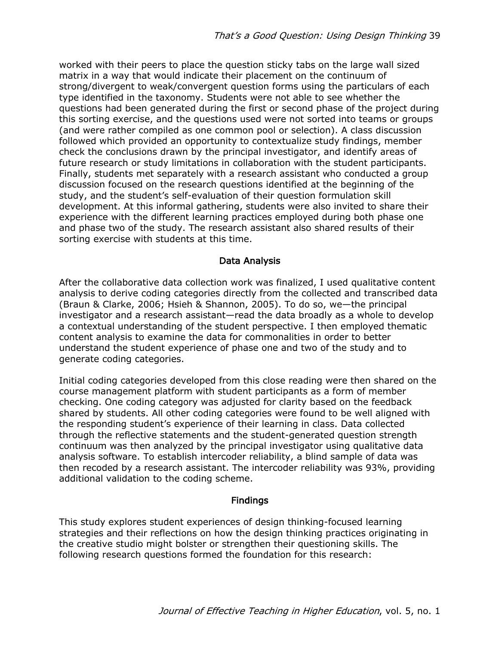worked with their peers to place the question sticky tabs on the large wall sized matrix in a way that would indicate their placement on the continuum of strong/divergent to weak/convergent question forms using the particulars of each type identified in the taxonomy. Students were not able to see whether the questions had been generated during the first or second phase of the project during this sorting exercise, and the questions used were not sorted into teams or groups (and were rather compiled as one common pool or selection). A class discussion followed which provided an opportunity to contextualize study findings, member check the conclusions drawn by the principal investigator, and identify areas of future research or study limitations in collaboration with the student participants. Finally, students met separately with a research assistant who conducted a group discussion focused on the research questions identified at the beginning of the study, and the student's self-evaluation of their question formulation skill development. At this informal gathering, students were also invited to share their experience with the different learning practices employed during both phase one and phase two of the study. The research assistant also shared results of their sorting exercise with students at this time.

#### Data Analysis

After the collaborative data collection work was finalized, I used qualitative content analysis to derive coding categories directly from the collected and transcribed data (Braun & Clarke, 2006; Hsieh & Shannon, 2005). To do so, we—the principal investigator and a research assistant—read the data broadly as a whole to develop a contextual understanding of the student perspective. I then employed thematic content analysis to examine the data for commonalities in order to better understand the student experience of phase one and two of the study and to generate coding categories.

Initial coding categories developed from this close reading were then shared on the course management platform with student participants as a form of member checking. One coding category was adjusted for clarity based on the feedback shared by students. All other coding categories were found to be well aligned with the responding student's experience of their learning in class. Data collected through the reflective statements and the student-generated question strength continuum was then analyzed by the principal investigator using qualitative data analysis software. To establish intercoder reliability, a blind sample of data was then recoded by a research assistant. The intercoder reliability was 93%, providing additional validation to the coding scheme.

### **Findings**

This study explores student experiences of design thinking-focused learning strategies and their reflections on how the design thinking practices originating in the creative studio might bolster or strengthen their questioning skills. The following research questions formed the foundation for this research: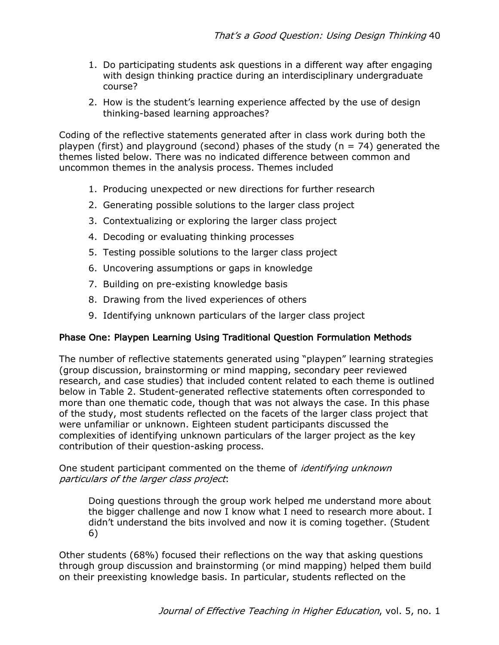- 1. Do participating students ask questions in a different way after engaging with design thinking practice during an interdisciplinary undergraduate course?
- 2. How is the student's learning experience affected by the use of design thinking-based learning approaches?

Coding of the reflective statements generated after in class work during both the playpen (first) and playground (second) phases of the study ( $n = 74$ ) generated the themes listed below. There was no indicated difference between common and uncommon themes in the analysis process. Themes included

- 1. Producing unexpected or new directions for further research
- 2. Generating possible solutions to the larger class project
- 3. Contextualizing or exploring the larger class project
- 4. Decoding or evaluating thinking processes
- 5. Testing possible solutions to the larger class project
- 6. Uncovering assumptions or gaps in knowledge
- 7. Building on pre-existing knowledge basis
- 8. Drawing from the lived experiences of others
- 9. Identifying unknown particulars of the larger class project

# Phase One: Playpen Learning Using Traditional Question Formulation Methods

The number of reflective statements generated using "playpen" learning strategies (group discussion, brainstorming or mind mapping, secondary peer reviewed research, and case studies) that included content related to each theme is outlined below in Table 2. Student-generated reflective statements often corresponded to more than one thematic code, though that was not always the case. In this phase of the study, most students reflected on the facets of the larger class project that were unfamiliar or unknown. Eighteen student participants discussed the complexities of identifying unknown particulars of the larger project as the key contribution of their question-asking process.

One student participant commented on the theme of *identifying unknown* particulars of the larger class project:

Doing questions through the group work helped me understand more about the bigger challenge and now I know what I need to research more about. I didn't understand the bits involved and now it is coming together. (Student 6)

Other students (68%) focused their reflections on the way that asking questions through group discussion and brainstorming (or mind mapping) helped them build on their preexisting knowledge basis. In particular, students reflected on the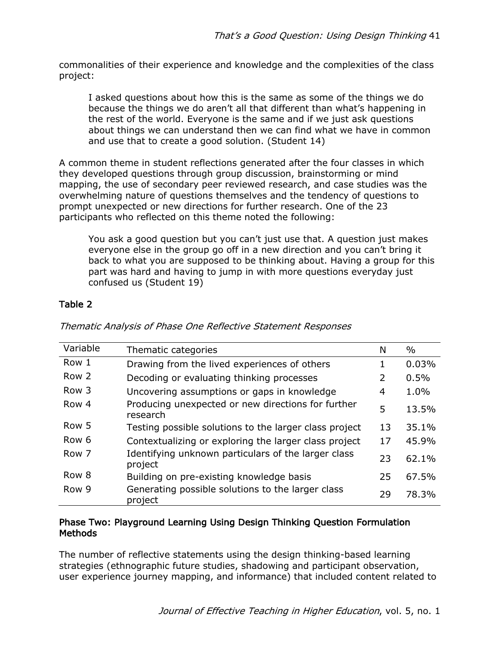commonalities of their experience and knowledge and the complexities of the class project:

I asked questions about how this is the same as some of the things we do because the things we do aren't all that different than what's happening in the rest of the world. Everyone is the same and if we just ask questions about things we can understand then we can find what we have in common and use that to create a good solution. (Student 14)

A common theme in student reflections generated after the four classes in which they developed questions through group discussion, brainstorming or mind mapping, the use of secondary peer reviewed research, and case studies was the overwhelming nature of questions themselves and the tendency of questions to prompt unexpected or new directions for further research. One of the 23 participants who reflected on this theme noted the following:

You ask a good question but you can't just use that. A question just makes everyone else in the group go off in a new direction and you can't bring it back to what you are supposed to be thinking about. Having a group for this part was hard and having to jump in with more questions everyday just confused us (Student 19)

# Table 2

| Variable         | Thematic categories                                            | N  | $\%$  |
|------------------|----------------------------------------------------------------|----|-------|
| Row 1            | Drawing from the lived experiences of others                   |    | 0.03% |
| Row 2            | Decoding or evaluating thinking processes                      | 2  | 0.5%  |
| Row 3            | Uncovering assumptions or gaps in knowledge                    | 4  | 1.0%  |
| Row 4            | Producing unexpected or new directions for further<br>research | 5  | 13.5% |
| Row 5            | Testing possible solutions to the larger class project         | 13 | 35.1% |
| Row <sub>6</sub> | Contextualizing or exploring the larger class project          | 17 | 45.9% |
| Row 7            | Identifying unknown particulars of the larger class<br>project | 23 | 62.1% |
| Row 8            | Building on pre-existing knowledge basis                       | 25 | 67.5% |
| Row 9            | Generating possible solutions to the larger class<br>project   | 29 | 78.3% |

Thematic Analysis of Phase One Reflective Statement Responses

## Phase Two: Playground Learning Using Design Thinking Question Formulation Methods

The number of reflective statements using the design thinking-based learning strategies (ethnographic future studies, shadowing and participant observation, user experience journey mapping, and informance) that included content related to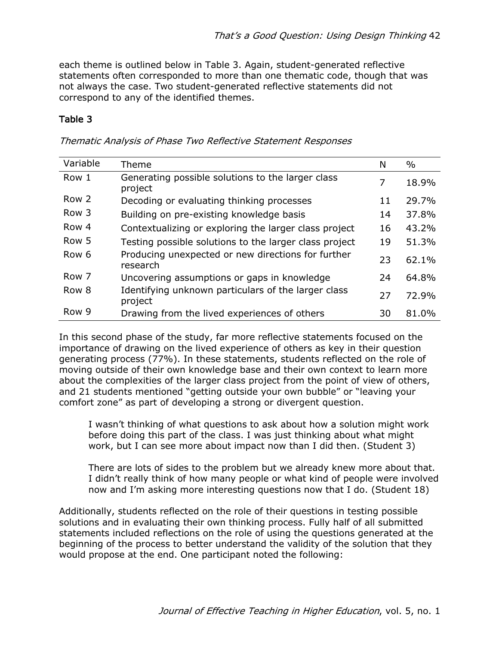each theme is outlined below in Table 3. Again, student-generated reflective statements often corresponded to more than one thematic code, though that was not always the case. Two student-generated reflective statements did not correspond to any of the identified themes.

## Table 3

|  | Thematic Analysis of Phase Two Reflective Statement Responses |  |
|--|---------------------------------------------------------------|--|
|  |                                                               |  |

| Variable         | Theme                                                          | N  | $\%$  |
|------------------|----------------------------------------------------------------|----|-------|
| Row 1            | Generating possible solutions to the larger class<br>project   | 7  | 18.9% |
| Row 2            | Decoding or evaluating thinking processes                      | 11 | 29.7% |
| Row <sub>3</sub> | Building on pre-existing knowledge basis                       | 14 | 37.8% |
| Row 4            | Contextualizing or exploring the larger class project          | 16 | 43.2% |
| Row 5            | Testing possible solutions to the larger class project         | 19 | 51.3% |
| Row <sub>6</sub> | Producing unexpected or new directions for further<br>research | 23 | 62.1% |
| Row 7            | Uncovering assumptions or gaps in knowledge                    | 24 | 64.8% |
| Row 8            | Identifying unknown particulars of the larger class<br>project | 27 | 72.9% |
| Row 9            | Drawing from the lived experiences of others                   | 30 | 81.0% |

In this second phase of the study, far more reflective statements focused on the importance of drawing on the lived experience of others as key in their question generating process (77%). In these statements, students reflected on the role of moving outside of their own knowledge base and their own context to learn more about the complexities of the larger class project from the point of view of others, and 21 students mentioned "getting outside your own bubble" or "leaving your comfort zone" as part of developing a strong or divergent question.

I wasn't thinking of what questions to ask about how a solution might work before doing this part of the class. I was just thinking about what might work, but I can see more about impact now than I did then. (Student 3)

There are lots of sides to the problem but we already knew more about that. I didn't really think of how many people or what kind of people were involved now and I'm asking more interesting questions now that I do. (Student 18)

Additionally, students reflected on the role of their questions in testing possible solutions and in evaluating their own thinking process. Fully half of all submitted statements included reflections on the role of using the questions generated at the beginning of the process to better understand the validity of the solution that they would propose at the end. One participant noted the following: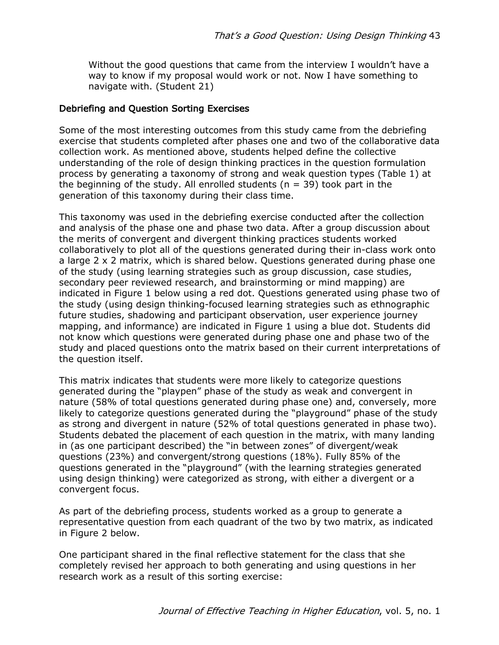Without the good questions that came from the interview I wouldn't have a way to know if my proposal would work or not. Now I have something to navigate with. (Student 21)

### Debriefing and Question Sorting Exercises

Some of the most interesting outcomes from this study came from the debriefing exercise that students completed after phases one and two of the collaborative data collection work. As mentioned above, students helped define the collective understanding of the role of design thinking practices in the question formulation process by generating a taxonomy of strong and weak question types (Table 1) at the beginning of the study. All enrolled students ( $n = 39$ ) took part in the generation of this taxonomy during their class time.

This taxonomy was used in the debriefing exercise conducted after the collection and analysis of the phase one and phase two data. After a group discussion about the merits of convergent and divergent thinking practices students worked collaboratively to plot all of the questions generated during their in-class work onto a large 2 x 2 matrix, which is shared below. Questions generated during phase one of the study (using learning strategies such as group discussion, case studies, secondary peer reviewed research, and brainstorming or mind mapping) are indicated in Figure 1 below using a red dot. Questions generated using phase two of the study (using design thinking-focused learning strategies such as ethnographic future studies, shadowing and participant observation, user experience journey mapping, and informance) are indicated in Figure 1 using a blue dot. Students did not know which questions were generated during phase one and phase two of the study and placed questions onto the matrix based on their current interpretations of the question itself.

This matrix indicates that students were more likely to categorize questions generated during the "playpen" phase of the study as weak and convergent in nature (58% of total questions generated during phase one) and, conversely, more likely to categorize questions generated during the "playground" phase of the study as strong and divergent in nature (52% of total questions generated in phase two). Students debated the placement of each question in the matrix, with many landing in (as one participant described) the "in between zones" of divergent/weak questions (23%) and convergent/strong questions (18%). Fully 85% of the questions generated in the "playground" (with the learning strategies generated using design thinking) were categorized as strong, with either a divergent or a convergent focus.

As part of the debriefing process, students worked as a group to generate a representative question from each quadrant of the two by two matrix, as indicated in Figure 2 below.

One participant shared in the final reflective statement for the class that she completely revised her approach to both generating and using questions in her research work as a result of this sorting exercise: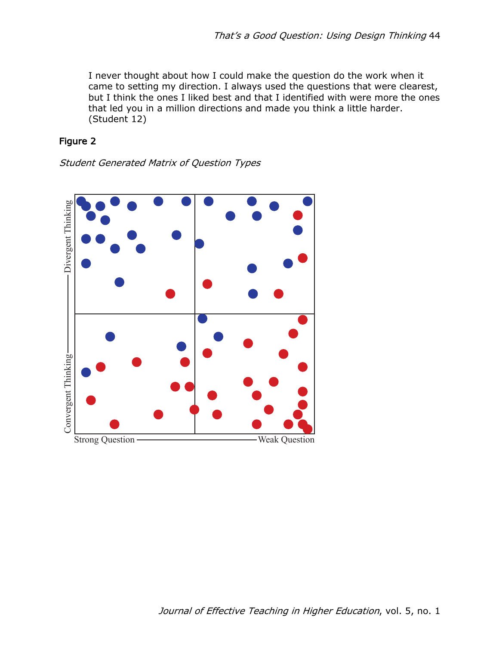I never thought about how I could make the question do the work when it came to setting my direction. I always used the questions that were clearest, but I think the ones I liked best and that I identified with were more the ones that led you in a million directions and made you think a little harder. (Student 12)

## Figure 2

Student Generated Matrix of Question Types

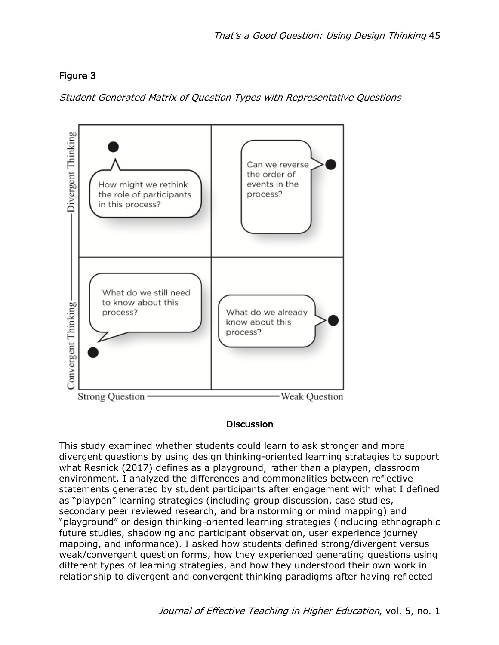# Figure 3

Student Generated Matrix of Question Types with Representative Questions



### **Discussion**

This study examined whether students could learn to ask stronger and more divergent questions by using design thinking-oriented learning strategies to support what Resnick (2017) defines as a playground, rather than a playpen, classroom environment. I analyzed the differences and commonalities between reflective statements generated by student participants after engagement with what I defined as "playpen" learning strategies (including group discussion, case studies, secondary peer reviewed research, and brainstorming or mind mapping) and "playground" or design thinking-oriented learning strategies (including ethnographic future studies, shadowing and participant observation, user experience journey mapping, and informance). I asked how students defined strong/divergent versus weak/convergent question forms, how they experienced generating questions using different types of learning strategies, and how they understood their own work in relationship to divergent and convergent thinking paradigms after having reflected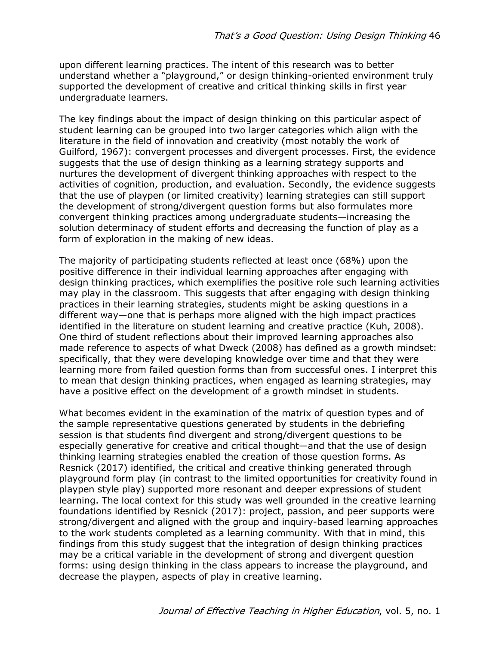upon different learning practices. The intent of this research was to better understand whether a "playground," or design thinking-oriented environment truly supported the development of creative and critical thinking skills in first year undergraduate learners.

The key findings about the impact of design thinking on this particular aspect of student learning can be grouped into two larger categories which align with the literature in the field of innovation and creativity (most notably the work of Guilford, 1967): convergent processes and divergent processes. First, the evidence suggests that the use of design thinking as a learning strategy supports and nurtures the development of divergent thinking approaches with respect to the activities of cognition, production, and evaluation. Secondly, the evidence suggests that the use of playpen (or limited creativity) learning strategies can still support the development of strong/divergent question forms but also formulates more convergent thinking practices among undergraduate students—increasing the solution determinacy of student efforts and decreasing the function of play as a form of exploration in the making of new ideas.

The majority of participating students reflected at least once (68%) upon the positive difference in their individual learning approaches after engaging with design thinking practices, which exemplifies the positive role such learning activities may play in the classroom. This suggests that after engaging with design thinking practices in their learning strategies, students might be asking questions in a different way—one that is perhaps more aligned with the high impact practices identified in the literature on student learning and creative practice (Kuh, 2008). One third of student reflections about their improved learning approaches also made reference to aspects of what Dweck (2008) has defined as a growth mindset: specifically, that they were developing knowledge over time and that they were learning more from failed question forms than from successful ones. I interpret this to mean that design thinking practices, when engaged as learning strategies, may have a positive effect on the development of a growth mindset in students.

What becomes evident in the examination of the matrix of question types and of the sample representative questions generated by students in the debriefing session is that students find divergent and strong/divergent questions to be especially generative for creative and critical thought—and that the use of design thinking learning strategies enabled the creation of those question forms. As Resnick (2017) identified, the critical and creative thinking generated through playground form play (in contrast to the limited opportunities for creativity found in playpen style play) supported more resonant and deeper expressions of student learning. The local context for this study was well grounded in the creative learning foundations identified by Resnick (2017): project, passion, and peer supports were strong/divergent and aligned with the group and inquiry-based learning approaches to the work students completed as a learning community. With that in mind, this findings from this study suggest that the integration of design thinking practices may be a critical variable in the development of strong and divergent question forms: using design thinking in the class appears to increase the playground, and decrease the playpen, aspects of play in creative learning.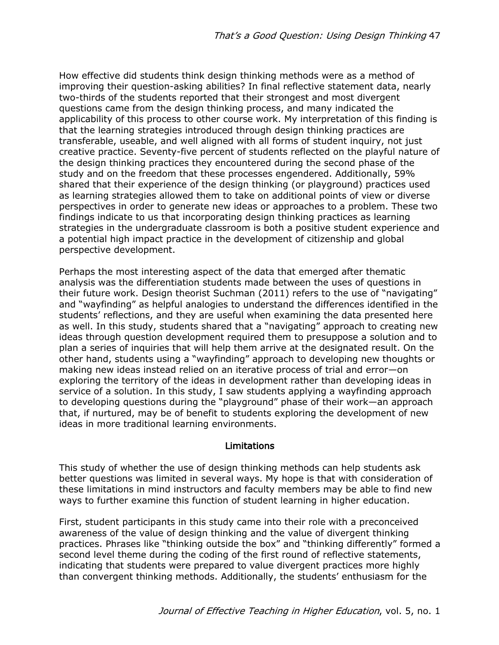How effective did students think design thinking methods were as a method of improving their question-asking abilities? In final reflective statement data, nearly two-thirds of the students reported that their strongest and most divergent questions came from the design thinking process, and many indicated the applicability of this process to other course work. My interpretation of this finding is that the learning strategies introduced through design thinking practices are transferable, useable, and well aligned with all forms of student inquiry, not just creative practice. Seventy-five percent of students reflected on the playful nature of the design thinking practices they encountered during the second phase of the study and on the freedom that these processes engendered. Additionally, 59% shared that their experience of the design thinking (or playground) practices used as learning strategies allowed them to take on additional points of view or diverse perspectives in order to generate new ideas or approaches to a problem. These two findings indicate to us that incorporating design thinking practices as learning strategies in the undergraduate classroom is both a positive student experience and a potential high impact practice in the development of citizenship and global perspective development.

Perhaps the most interesting aspect of the data that emerged after thematic analysis was the differentiation students made between the uses of questions in their future work. Design theorist Suchman (2011) refers to the use of "navigating" and "wayfinding" as helpful analogies to understand the differences identified in the students' reflections, and they are useful when examining the data presented here as well. In this study, students shared that a "navigating" approach to creating new ideas through question development required them to presuppose a solution and to plan a series of inquiries that will help them arrive at the designated result. On the other hand, students using a "wayfinding" approach to developing new thoughts or making new ideas instead relied on an iterative process of trial and error—on exploring the territory of the ideas in development rather than developing ideas in service of a solution. In this study, I saw students applying a wayfinding approach to developing questions during the "playground" phase of their work—an approach that, if nurtured, may be of benefit to students exploring the development of new ideas in more traditional learning environments.

### Limitations

This study of whether the use of design thinking methods can help students ask better questions was limited in several ways. My hope is that with consideration of these limitations in mind instructors and faculty members may be able to find new ways to further examine this function of student learning in higher education.

First, student participants in this study came into their role with a preconceived awareness of the value of design thinking and the value of divergent thinking practices. Phrases like "thinking outside the box" and "thinking differently" formed a second level theme during the coding of the first round of reflective statements, indicating that students were prepared to value divergent practices more highly than convergent thinking methods. Additionally, the students' enthusiasm for the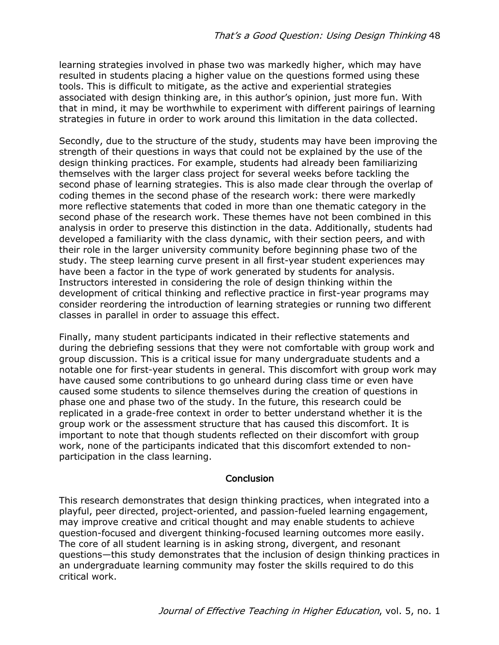learning strategies involved in phase two was markedly higher, which may have resulted in students placing a higher value on the questions formed using these tools. This is difficult to mitigate, as the active and experiential strategies associated with design thinking are, in this author's opinion, just more fun. With that in mind, it may be worthwhile to experiment with different pairings of learning strategies in future in order to work around this limitation in the data collected.

Secondly, due to the structure of the study, students may have been improving the strength of their questions in ways that could not be explained by the use of the design thinking practices. For example, students had already been familiarizing themselves with the larger class project for several weeks before tackling the second phase of learning strategies. This is also made clear through the overlap of coding themes in the second phase of the research work: there were markedly more reflective statements that coded in more than one thematic category in the second phase of the research work. These themes have not been combined in this analysis in order to preserve this distinction in the data. Additionally, students had developed a familiarity with the class dynamic, with their section peers, and with their role in the larger university community before beginning phase two of the study. The steep learning curve present in all first-year student experiences may have been a factor in the type of work generated by students for analysis. Instructors interested in considering the role of design thinking within the development of critical thinking and reflective practice in first-year programs may consider reordering the introduction of learning strategies or running two different classes in parallel in order to assuage this effect.

Finally, many student participants indicated in their reflective statements and during the debriefing sessions that they were not comfortable with group work and group discussion. This is a critical issue for many undergraduate students and a notable one for first-year students in general. This discomfort with group work may have caused some contributions to go unheard during class time or even have caused some students to silence themselves during the creation of questions in phase one and phase two of the study. In the future, this research could be replicated in a grade-free context in order to better understand whether it is the group work or the assessment structure that has caused this discomfort. It is important to note that though students reflected on their discomfort with group work, none of the participants indicated that this discomfort extended to nonparticipation in the class learning.

#### **Conclusion**

This research demonstrates that design thinking practices, when integrated into a playful, peer directed, project-oriented, and passion-fueled learning engagement, may improve creative and critical thought and may enable students to achieve question-focused and divergent thinking-focused learning outcomes more easily. The core of all student learning is in asking strong, divergent, and resonant questions—this study demonstrates that the inclusion of design thinking practices in an undergraduate learning community may foster the skills required to do this critical work.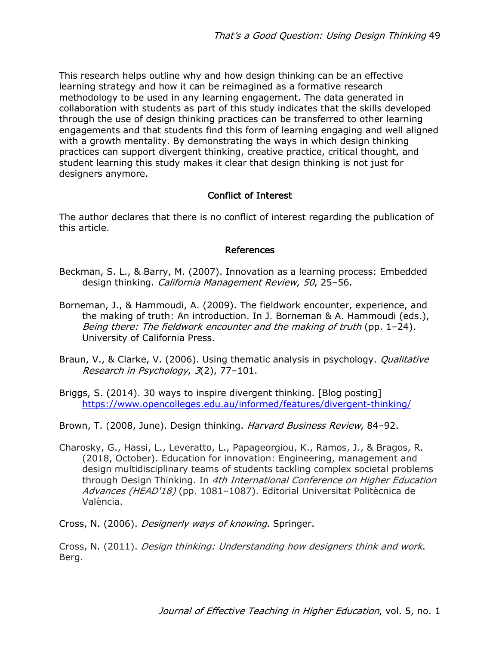This research helps outline why and how design thinking can be an effective learning strategy and how it can be reimagined as a formative research methodology to be used in any learning engagement. The data generated in collaboration with students as part of this study indicates that the skills developed through the use of design thinking practices can be transferred to other learning engagements and that students find this form of learning engaging and well aligned with a growth mentality. By demonstrating the ways in which design thinking practices can support divergent thinking, creative practice, critical thought, and student learning this study makes it clear that design thinking is not just for designers anymore.

### Conflict of Interest

The author declares that there is no conflict of interest regarding the publication of this article.

#### References

- Beckman, S. L., & Barry, M. (2007). Innovation as a learning process: Embedded design thinking. California Management Review, 50, 25–56.
- Borneman, J., & Hammoudi, A. (2009). The fieldwork encounter, experience, and the making of truth: An introduction. In J. Borneman & A. Hammoudi (eds.), Being there: The fieldwork encounter and the making of truth (pp. 1–24). University of California Press.
- Braun, V., & Clarke, V. (2006). Using thematic analysis in psychology. *Qualitative* Research in Psychology, 3(2), 77–101.
- Briggs, S. (2014). 30 ways to inspire divergent thinking. [Blog posting] https://www.opencolleges.edu.au/informed/features/divergent-thinking/

Brown, T. (2008, June). Design thinking. Harvard Business Review, 84-92.

Charosky, G., Hassi, L., Leveratto, L., Papageorgiou, K., Ramos, J., & Bragos, R. (2018, October). Education for innovation: Engineering, management and design multidisciplinary teams of students tackling complex societal problems through Design Thinking. In 4th International Conference on Higher Education Advances (HEAD'18) (pp. 1081–1087). Editorial Universitat Politècnica de València.

Cross, N. (2006). Designerly ways of knowing. Springer.

Cross, N. (2011). Design thinking: Understanding how designers think and work. Berg.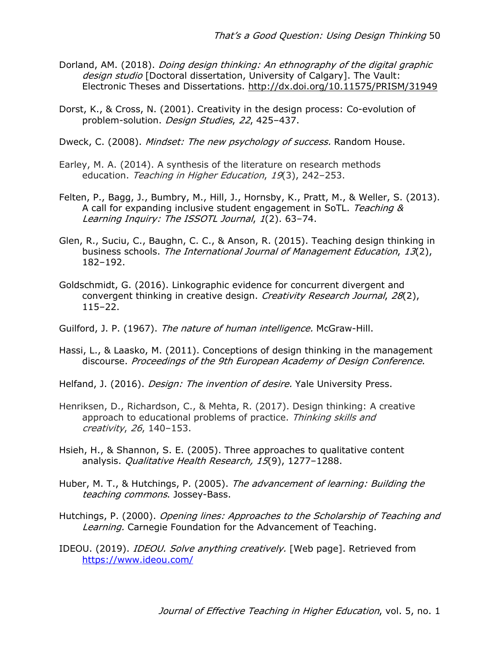- Dorland, AM. (2018). Doing design thinking: An ethnography of the digital graphic design studio [Doctoral dissertation, University of Calgary]. The Vault: Electronic Theses and Dissertations. http://dx.doi.org/10.11575/PRISM/31949
- Dorst, K., & Cross, N. (2001). Creativity in the design process: Co-evolution of problem-solution. Design Studies, 22, 425–437.
- Dweck, C. (2008). Mindset: The new psychology of success. Random House.
- Earley, M. A. (2014). A synthesis of the literature on research methods education. Teaching in Higher Education, 19(3), 242-253.
- Felten, P., Bagg, J., Bumbry, M., Hill, J., Hornsby, K., Pratt, M., & Weller, S. (2013). A call for expanding inclusive student engagement in SoTL. Teaching & Learning Inquiry: The ISSOTL Journal, 1(2). 63–74.
- Glen, R., Suciu, C., Baughn, C. C., & Anson, R. (2015). Teaching design thinking in business schools. The International Journal of Management Education, 13(2), 182–192.
- Goldschmidt, G. (2016). Linkographic evidence for concurrent divergent and convergent thinking in creative design. Creativity Research Journal, 28(2), 115–22.
- Guilford, J. P. (1967). The nature of human intelligence. McGraw-Hill.
- Hassi, L., & Laasko, M. (2011). Conceptions of design thinking in the management discourse. Proceedings of the 9th European Academy of Design Conference.
- Helfand, J. (2016). *Design: The invention of desire.* Yale University Press.
- Henriksen, D., Richardson, C., & Mehta, R. (2017). Design thinking: A creative approach to educational problems of practice. Thinking skills and creativity, 26, 140–153.
- Hsieh, H., & Shannon, S. E. (2005). Three approaches to qualitative content analysis. Qualitative Health Research, 15(9), 1277-1288.
- Huber, M. T., & Hutchings, P. (2005). The advancement of learning: Building the teaching commons. Jossey-Bass.
- Hutchings, P. (2000). *Opening lines: Approaches to the Scholarship of Teaching and* Learning. Carnegie Foundation for the Advancement of Teaching.
- IDEOU. (2019). *IDEOU. Solve anything creatively.* [Web page]. Retrieved from https://www.ideou.com/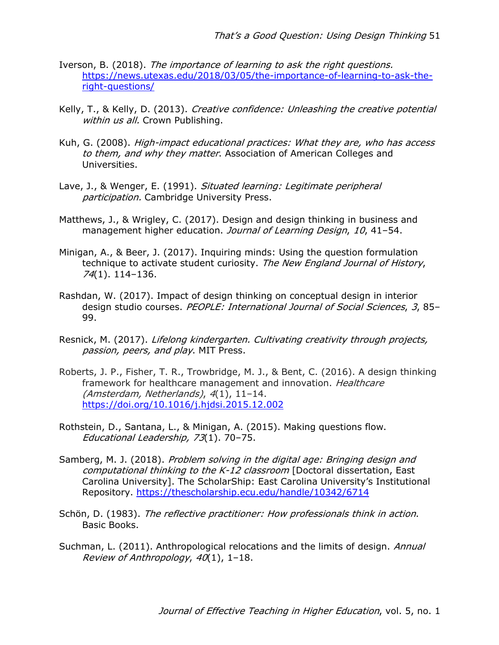- Iverson, B. (2018). The importance of learning to ask the right questions. https://news.utexas.edu/2018/03/05/the-importance-of-learning-to-ask-theright-questions/
- Kelly, T., & Kelly, D. (2013). Creative confidence: Unleashing the creative potential within us all. Crown Publishing.
- Kuh, G. (2008). High-impact educational practices: What they are, who has access to them, and why they matter. Association of American Colleges and Universities.
- Lave, J., & Wenger, E. (1991). Situated learning: Legitimate peripheral participation. Cambridge University Press.
- Matthews, J., & Wrigley, C. (2017). Design and design thinking in business and management higher education. Journal of Learning Design, 10, 41-54.
- Minigan, A., & Beer, J. (2017). Inquiring minds: Using the question formulation technique to activate student curiosity. The New England Journal of History, 74(1). 114–136.
- Rashdan, W. (2017). Impact of design thinking on conceptual design in interior design studio courses. PEOPLE: International Journal of Social Sciences, 3, 85– 99.
- Resnick, M. (2017). Lifelong kindergarten. Cultivating creativity through projects, passion, peers, and play. MIT Press.
- Roberts, J. P., Fisher, T. R., Trowbridge, M. J., & Bent, C. (2016). A design thinking framework for healthcare management and innovation. Healthcare (Amsterdam, Netherlands), 4(1), 11–14. https://doi.org/10.1016/j.hjdsi.2015.12.002
- Rothstein, D., Santana, L., & Minigan, A. (2015). Making questions flow. Educational Leadership, 73(1). 70–75.
- Samberg, M. J. (2018). Problem solving in the digital age: Bringing design and computational thinking to the K-12 classroom [Doctoral dissertation, East Carolina University]. The ScholarShip: East Carolina University's Institutional Repository. https://thescholarship.ecu.edu/handle/10342/6714
- Schön, D. (1983). The reflective practitioner: How professionals think in action. Basic Books.
- Suchman, L. (2011). Anthropological relocations and the limits of design. Annual Review of Anthropology, 40(1), 1–18.